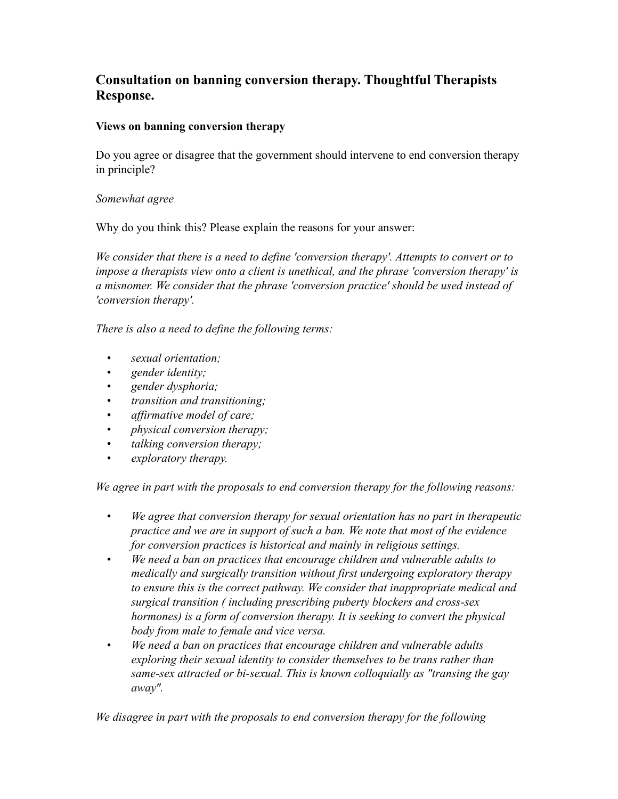# **Consultation on banning conversion therapy. Thoughtful Therapists Response.**

### **Views on banning conversion therapy**

Do you agree or disagree that the government should intervene to end conversion therapy in principle?

### *Somewhat agree*

Why do you think this? Please explain the reasons for your answer:

*We consider that there is a need to define 'conversion therapy'. Attempts to convert or to impose a therapists view onto a client is unethical, and the phrase 'conversion therapy' is a misnomer. We consider that the phrase 'conversion practice' should be used instead of 'conversion therapy'.*

*There is also a need to define the following terms:*

- *sexual orientation;*
- *gender identity;*
- *gender dysphoria;*
- *transition and transitioning;*
- *affirmative model of care;*
- *physical conversion therapy;*
- *talking conversion therapy;*
- *exploratory therapy.*

*We agree in part with the proposals to end conversion therapy for the following reasons:*

- *We agree that conversion therapy for sexual orientation has no part in therapeutic practice and we are in support of such a ban. We note that most of the evidence for conversion practices is historical and mainly in religious settings.*
- *We need a ban on practices that encourage children and vulnerable adults to medically and surgically transition without first undergoing exploratory therapy to ensure this is the correct pathway. We consider that inappropriate medical and surgical transition ( including prescribing puberty blockers and cross-sex hormones) is a form of conversion therapy. It is seeking to convert the physical body from male to female and vice versa.*
- *We need a ban on practices that encourage children and vulnerable adults exploring their sexual identity to consider themselves to be trans rather than same-sex attracted or bi-sexual. This is known colloquially as "transing the gay away".*

*We disagree in part with the proposals to end conversion therapy for the following*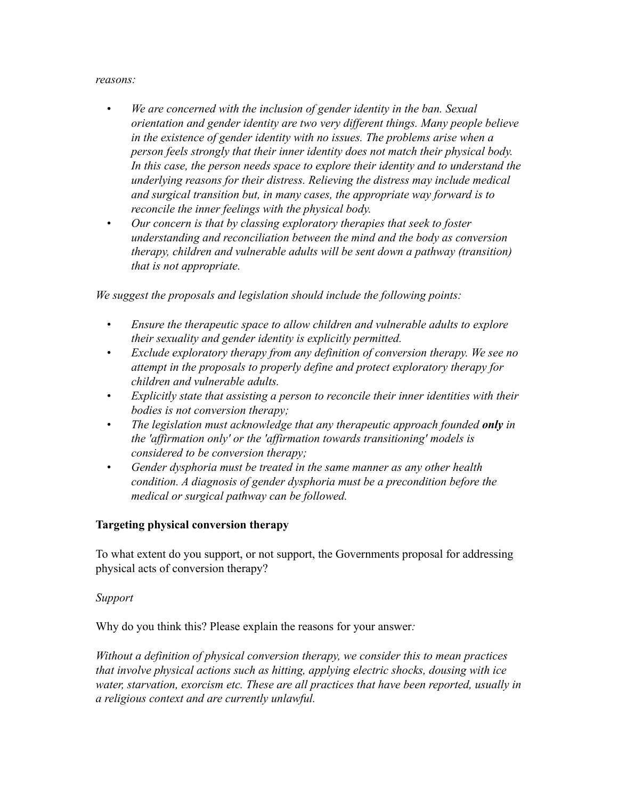#### *reasons:*

- *We are concerned with the inclusion of gender identity in the ban. Sexual orientation and gender identity are two very different things. Many people believe in the existence of gender identity with no issues. The problems arise when a person feels strongly that their inner identity does not match their physical body. In this case, the person needs space to explore their identity and to understand the underlying reasons for their distress. Relieving the distress may include medical and surgical transition but, in many cases, the appropriate way forward is to reconcile the inner feelings with the physical body.*
- *Our concern is that by classing exploratory therapies that seek to foster understanding and reconciliation between the mind and the body as conversion therapy, children and vulnerable adults will be sent down a pathway (transition) that is not appropriate.*

*We suggest the proposals and legislation should include the following points:*

- *Ensure the therapeutic space to allow children and vulnerable adults to explore their sexuality and gender identity is explicitly permitted.*
- *Exclude exploratory therapy from any definition of conversion therapy. We see no attempt in the proposals to properly define and protect exploratory therapy for children and vulnerable adults.*
- *Explicitly state that assisting a person to reconcile their inner identities with their bodies is not conversion therapy;*
- *The legislation must acknowledge that any therapeutic approach founded only in the 'affirmation only' or the 'affirmation towards transitioning' models is considered to be conversion therapy;*
- *Gender dysphoria must be treated in the same manner as any other health condition. A diagnosis of gender dysphoria must be a precondition before the medical or surgical pathway can be followed.*

### **Targeting physical conversion therapy**

To what extent do you support, or not support, the Governments proposal for addressing physical acts of conversion therapy?

#### *Support*

Why do you think this? Please explain the reasons for your answer*:*

*Without a definition of physical conversion therapy, we consider this to mean practices that involve physical actions such as hitting, applying electric shocks, dousing with ice water, starvation, exorcism etc. These are all practices that have been reported, usually in a religious context and are currently unlawful.*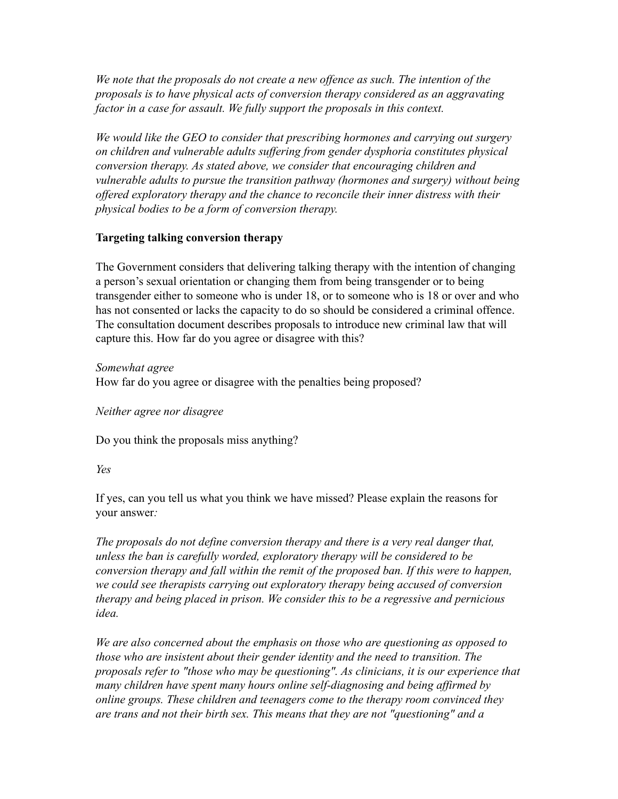*We note that the proposals do not create a new offence as such. The intention of the proposals is to have physical acts of conversion therapy considered as an aggravating factor in a case for assault. We fully support the proposals in this context.*

*We would like the GEO to consider that prescribing hormones and carrying out surgery on children and vulnerable adults suffering from gender dysphoria constitutes physical conversion therapy. As stated above, we consider that encouraging children and vulnerable adults to pursue the transition pathway (hormones and surgery) without being offered exploratory therapy and the chance to reconcile their inner distress with their physical bodies to be a form of conversion therapy.*

### **Targeting talking conversion therapy**

The Government considers that delivering talking therapy with the intention of changing a person's sexual orientation or changing them from being transgender or to being transgender either to someone who is under 18, or to someone who is 18 or over and who has not consented or lacks the capacity to do so should be considered a criminal offence. The consultation document describes proposals to introduce new criminal law that will capture this. How far do you agree or disagree with this?

*Somewhat agree* How far do you agree or disagree with the penalties being proposed?

*Neither agree nor disagree*

Do you think the proposals miss anything?

### *Yes*

If yes, can you tell us what you think we have missed? Please explain the reasons for your answer*:*

*The proposals do not define conversion therapy and there is a very real danger that, unless the ban is carefully worded, exploratory therapy will be considered to be conversion therapy and fall within the remit of the proposed ban. If this were to happen, we could see therapists carrying out exploratory therapy being accused of conversion therapy and being placed in prison. We consider this to be a regressive and pernicious idea.* 

*We are also concerned about the emphasis on those who are questioning as opposed to those who are insistent about their gender identity and the need to transition. The proposals refer to "those who may be questioning". As clinicians, it is our experience that many children have spent many hours online self-diagnosing and being affirmed by online groups. These children and teenagers come to the therapy room convinced they are trans and not their birth sex. This means that they are not "questioning" and a*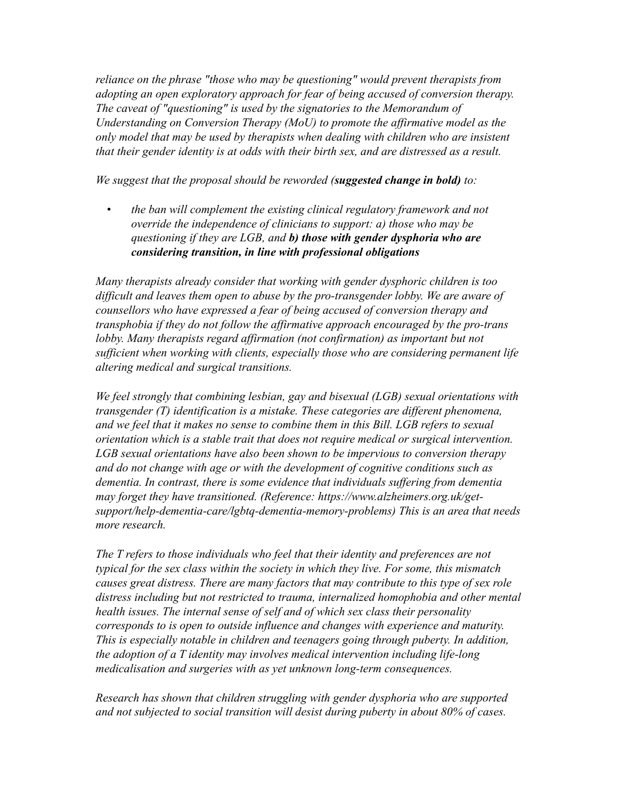*reliance on the phrase "those who may be questioning" would prevent therapists from adopting an open exploratory approach for fear of being accused of conversion therapy. The caveat of "questioning" is used by the signatories to the Memorandum of Understanding on Conversion Therapy (MoU) to promote the affirmative model as the only model that may be used by therapists when dealing with children who are insistent that their gender identity is at odds with their birth sex, and are distressed as a result.*

*We suggest that the proposal should be reworded (suggested change in bold) to:*

*• the ban will complement the existing clinical regulatory framework and not override the independence of clinicians to support: a) those who may be questioning if they are LGB, and b) those with gender dysphoria who are considering transition, in line with professional obligations*

*Many therapists already consider that working with gender dysphoric children is too difficult and leaves them open to abuse by the pro-transgender lobby. We are aware of counsellors who have expressed a fear of being accused of conversion therapy and transphobia if they do not follow the affirmative approach encouraged by the pro-trans lobby. Many therapists regard affirmation (not confirmation) as important but not sufficient when working with clients, especially those who are considering permanent life altering medical and surgical transitions.*

*We feel strongly that combining lesbian, gay and bisexual (LGB) sexual orientations with transgender (T) identification is a mistake. These categories are different phenomena, and we feel that it makes no sense to combine them in this Bill. LGB refers to sexual orientation which is a stable trait that does not require medical or surgical intervention. LGB sexual orientations have also been shown to be impervious to conversion therapy and do not change with age or with the development of cognitive conditions such as dementia. In contrast, there is some evidence that individuals suffering from dementia may forget they have transitioned. (Reference: https://www.alzheimers.org.uk/getsupport/help-dementia-care/lgbtq-dementia-memory-problems) This is an area that needs more research.*

*The T refers to those individuals who feel that their identity and preferences are not typical for the sex class within the society in which they live. For some, this mismatch causes great distress. There are many factors that may contribute to this type of sex role distress including but not restricted to trauma, internalized homophobia and other mental health issues. The internal sense of self and of which sex class their personality corresponds to is open to outside influence and changes with experience and maturity. This is especially notable in children and teenagers going through puberty. In addition, the adoption of a T identity may involves medical intervention including life-long medicalisation and surgeries with as yet unknown long-term consequences.*

*Research has shown that children struggling with gender dysphoria who are supported and not subjected to social transition will desist during puberty in about 80% of cases.*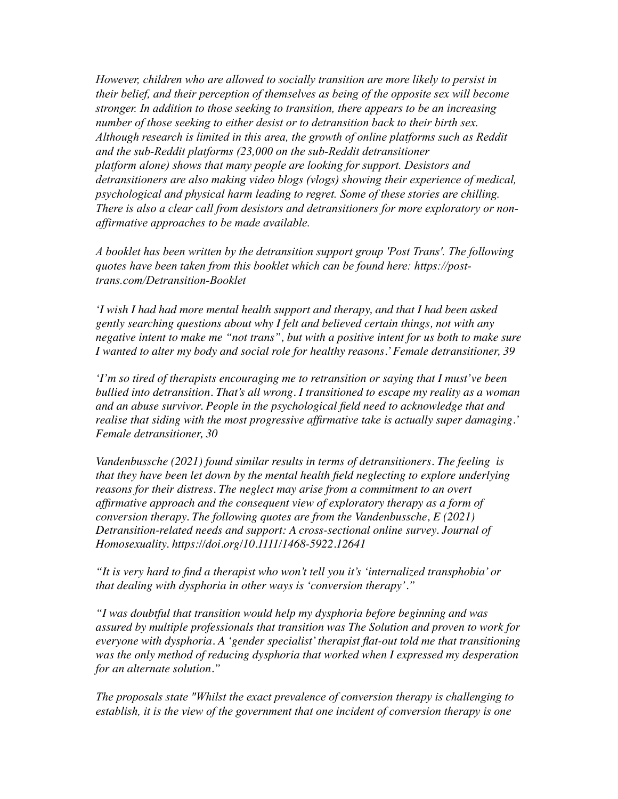*However, children who are allowed to socially transition are more likely to persist in their belief, and their perception of themselves as being of the opposite sex will become stronger. In addition to those seeking to transition, there appears to be an increasing number of those seeking to either desist or to detransition back to their birth sex. Although research is limited in this area, the growth of online platforms such as Reddit and the sub-Reddit platforms (23,000 on the sub-Reddit detransitioner platform alone) shows that many people are looking for support. Desistors and detransitioners are also making video blogs (vlogs) showing their experience of medical, psychological and physical harm leading to regret. Some of these stories are chilling. There is also a clear call from desistors and detransitioners for more exploratory or nonaffirmative approaches to be made available.*

*A booklet has been written by the detransition support group 'Post Trans'. The following quotes have been taken from this booklet which can be found here: [https://post](https://post-trans.com/Detransition-Booklet)[trans.com/Detransition-Booklet](https://post-trans.com/Detransition-Booklet)*

*'I wish I had had more mental health support and therapy, and that I had been asked gently searching questions about why I felt and believed certain things, not with any negative intent to make me "not trans", but with a positive intent for us both to make sure I wanted to alter my body and social role for healthy reasons.' Female detransitioner, 39*

*'I'm so tired of therapists encouraging me to retransition or saying that I must've been bullied into detransition. That's all wrong. I transitioned to escape my reality as a woman and an abuse survivor. People in the psychological field need to acknowledge that and realise that siding with the most progressive affirmative take is actually super damaging.' Female detransitioner, 30* 

*Vandenbussche (2021) found similar results in terms of detransitioners. The feeling is that they have been let down by the mental health field neglecting to explore underlying reasons for their distress. The neglect may arise from a commitment to an overt affirmative approach and the consequent view of exploratory therapy as a form of conversion therapy. The following quotes are from the Vandenbussche, E (2021) Detransition-related needs and support: A cross-sectional online survey. Journal of Homosexuality. https://doi.org/10.1111/1468-5922.12641* 

*"It is very hard to find a therapist who won't tell you it's 'internalized transphobia' or that dealing with dysphoria in other ways is 'conversion therapy'."*

*"I was doubtful that transition would help my dysphoria before beginning and was assured by multiple professionals that transition was The Solution and proven to work for everyone with dysphoria. A 'gender specialist' therapist flat-out told me that transitioning was the only method of reducing dysphoria that worked when I expressed my desperation for an alternate solution."*

*The proposals state "Whilst the exact prevalence of conversion therapy is challenging to establish, it is the view of the government that one incident of conversion therapy is one*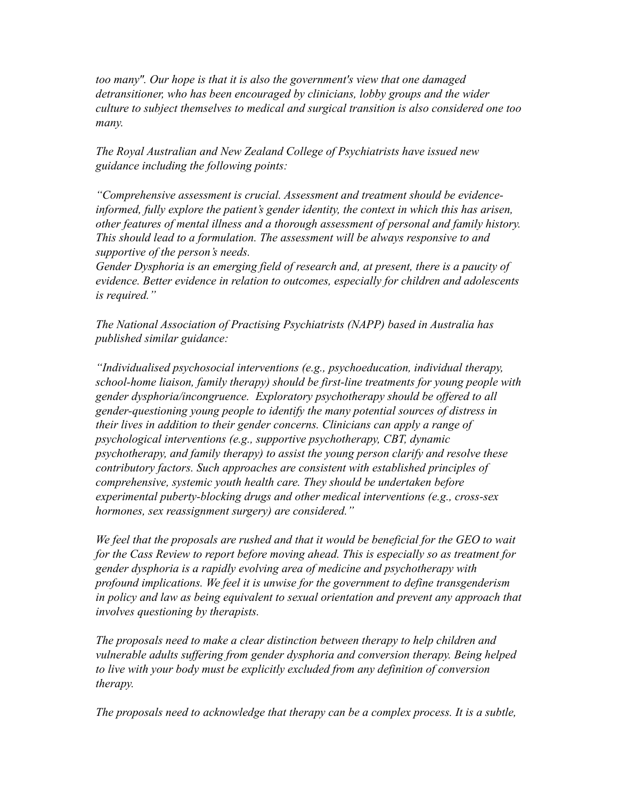*too many". Our hope is that it is also the government's view that one damaged detransitioner, who has been encouraged by clinicians, lobby groups and the wider culture to subject themselves to medical and surgical transition is also considered one too many.*

*The Royal Australian and New Zealand College of Psychiatrists have issued new guidance including the following points:*

*"Comprehensive assessment is crucial. Assessment and treatment should be evidenceinformed, fully explore the patient's gender identity, the context in which this has arisen, other features of mental illness and a thorough assessment of personal and family history. This should lead to a formulation. The assessment will be always responsive to and supportive of the person's needs.*

*Gender Dysphoria is an emerging field of research and, at present, there is a paucity of evidence. Better evidence in relation to outcomes, especially for children and adolescents is required."*

*The National Association of Practising Psychiatrists (NAPP) based in Australia has published similar guidance:*

*"Individualised psychosocial interventions (e.g., psychoeducation, individual therapy, school-home liaison, family therapy) should be first-line treatments for young people with gender dysphoria/incongruence. Exploratory psychotherapy should be offered to all gender-questioning young people to identify the many potential sources of distress in their lives in addition to their gender concerns. Clinicians can apply a range of psychological interventions (e.g., supportive psychotherapy, CBT, dynamic psychotherapy, and family therapy) to assist the young person clarify and resolve these contributory factors. Such approaches are consistent with established principles of comprehensive, systemic youth health care. They should be undertaken before experimental puberty-blocking drugs and other medical interventions (e.g., cross-sex hormones, sex reassignment surgery) are considered."*

*We feel that the proposals are rushed and that it would be beneficial for the GEO to wait for the Cass Review to report before moving ahead. This is especially so as treatment for gender dysphoria is a rapidly evolving area of medicine and psychotherapy with profound implications. We feel it is unwise for the government to define transgenderism in policy and law as being equivalent to sexual orientation and prevent any approach that involves questioning by therapists.* 

*The proposals need to make a clear distinction between therapy to help children and vulnerable adults suffering from gender dysphoria and conversion therapy. Being helped to live with your body must be explicitly excluded from any definition of conversion therapy.*

*The proposals need to acknowledge that therapy can be a complex process. It is a subtle,*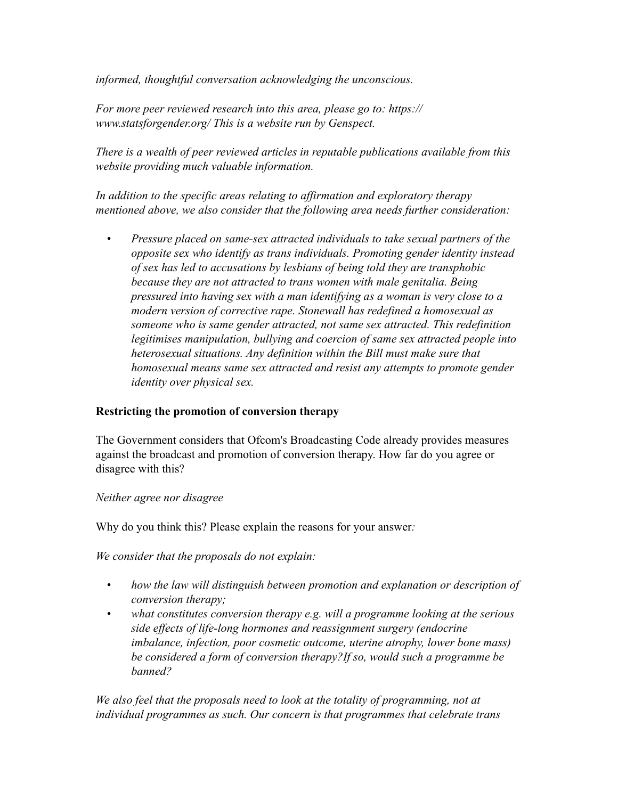*informed, thoughtful conversation acknowledging the unconscious.* 

*For more peer reviewed research into this area, please go to: https:// www.statsforgender.org/ This is a website run by Genspect.*

*There is a wealth of peer reviewed articles in reputable publications available from this website providing much valuable information.*

*In addition to the specific areas relating to affirmation and exploratory therapy mentioned above, we also consider that the following area needs further consideration:*

*• Pressure placed on same-sex attracted individuals to take sexual partners of the opposite sex who identify as trans individuals. Promoting gender identity instead of sex has led to accusations by lesbians of being told they are transphobic because they are not attracted to trans women with male genitalia. Being pressured into having sex with a man identifying as a woman is very close to a modern version of corrective rape. Stonewall has redefined a homosexual as someone who is same gender attracted, not same sex attracted. This redefinition legitimises manipulation, bullying and coercion of same sex attracted people into heterosexual situations. Any definition within the Bill must make sure that homosexual means same sex attracted and resist any attempts to promote gender identity over physical sex.*

# **Restricting the promotion of conversion therapy**

The Government considers that Ofcom's Broadcasting Code already provides measures against the broadcast and promotion of conversion therapy. How far do you agree or disagree with this?

### *Neither agree nor disagree*

Why do you think this? Please explain the reasons for your answer*:*

*We consider that the proposals do not explain:*

- *how the law will distinguish between promotion and explanation or description of conversion therapy;*
- *what constitutes conversion therapy e.g. will a programme looking at the serious side effects of life-long hormones and reassignment surgery (endocrine imbalance, infection, poor cosmetic outcome, uterine atrophy, lower bone mass) be considered a form of conversion therapy?If so, would such a programme be banned?*

*We also feel that the proposals need to look at the totality of programming, not at individual programmes as such. Our concern is that programmes that celebrate trans*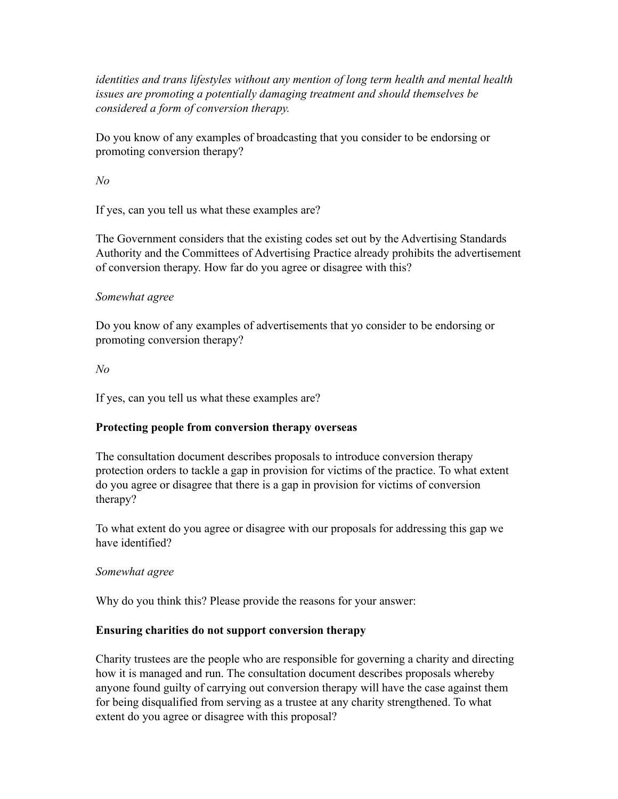*identities and trans lifestyles without any mention of long term health and mental health issues are promoting a potentially damaging treatment and should themselves be considered a form of conversion therapy.*

Do you know of any examples of broadcasting that you consider to be endorsing or promoting conversion therapy?

*No*

If yes, can you tell us what these examples are?

The Government considers that the existing codes set out by the Advertising Standards Authority and the Committees of Advertising Practice already prohibits the advertisement of conversion therapy. How far do you agree or disagree with this?

# *Somewhat agree*

Do you know of any examples of advertisements that yo consider to be endorsing or promoting conversion therapy?

*No*

If yes, can you tell us what these examples are?

# **Protecting people from conversion therapy overseas**

The consultation document describes proposals to introduce conversion therapy protection orders to tackle a gap in provision for victims of the practice. To what extent do you agree or disagree that there is a gap in provision for victims of conversion therapy?

To what extent do you agree or disagree with our proposals for addressing this gap we have identified?

# *Somewhat agree*

Why do you think this? Please provide the reasons for your answer:

# **Ensuring charities do not support conversion therapy**

Charity trustees are the people who are responsible for governing a charity and directing how it is managed and run. The consultation document describes proposals whereby anyone found guilty of carrying out conversion therapy will have the case against them for being disqualified from serving as a trustee at any charity strengthened. To what extent do you agree or disagree with this proposal?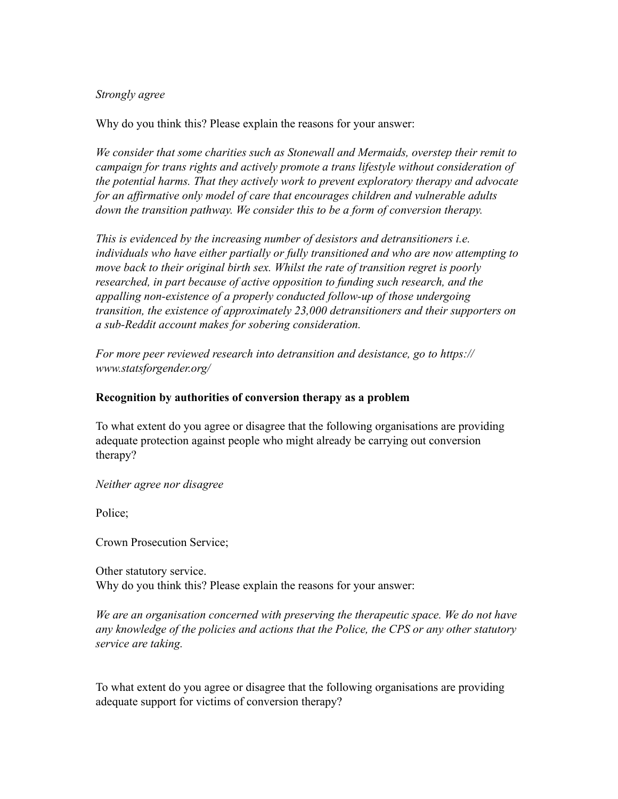#### *Strongly agree*

Why do you think this? Please explain the reasons for your answer:

*We consider that some charities such as Stonewall and Mermaids, overstep their remit to campaign for trans rights and actively promote a trans lifestyle without consideration of the potential harms. That they actively work to prevent exploratory therapy and advocate for an affirmative only model of care that encourages children and vulnerable adults down the transition pathway. We consider this to be a form of conversion therapy.*

*This is evidenced by the increasing number of desistors and detransitioners i.e. individuals who have either partially or fully transitioned and who are now attempting to move back to their original birth sex. Whilst the rate of transition regret is poorly researched, in part because of active opposition to funding such research, and the appalling non-existence of a properly conducted follow-up of those undergoing transition, the existence of approximately 23,000 detransitioners and their supporters on a sub-Reddit account makes for sobering consideration.* 

*For more peer reviewed research into detransition and desistance, go to https:// www.statsforgender.org/*

#### **Recognition by authorities of conversion therapy as a problem**

To what extent do you agree or disagree that the following organisations are providing adequate protection against people who might already be carrying out conversion therapy?

*Neither agree nor disagree*

Police;

Crown Prosecution Service;

Other statutory service. Why do you think this? Please explain the reasons for your answer:

*We are an organisation concerned with preserving the therapeutic space. We do not have any knowledge of the policies and actions that the Police, the CPS or any other statutory service are taking.*

To what extent do you agree or disagree that the following organisations are providing adequate support for victims of conversion therapy?